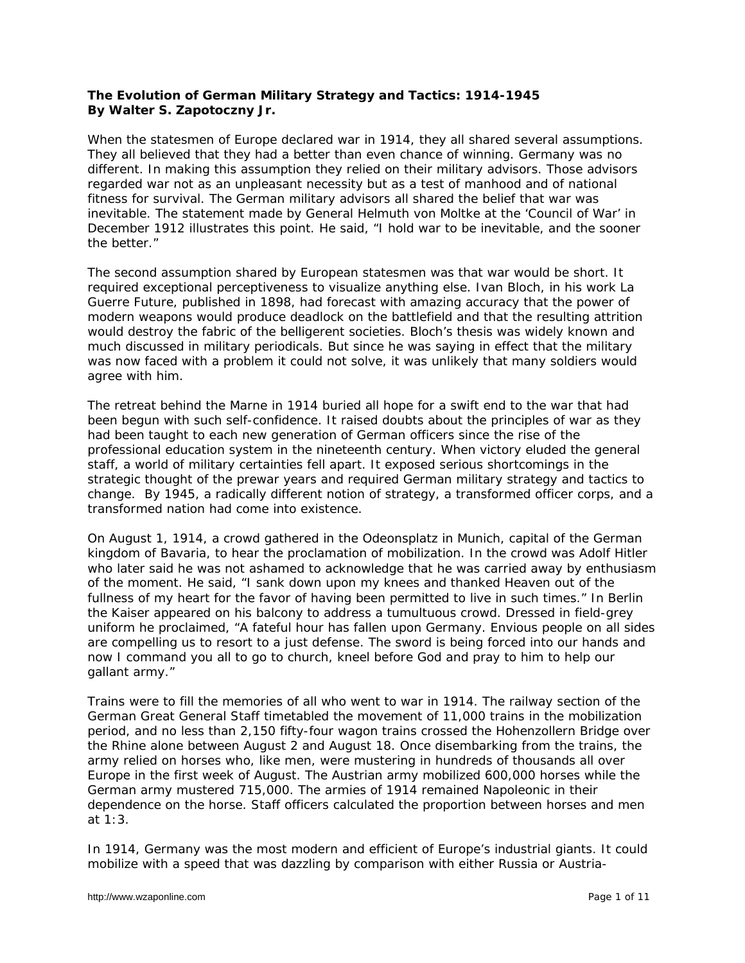## **The Evolution of German Military Strategy and Tactics: 1914-1945 By Walter S. Zapotoczny Jr.**

When the statesmen of Europe declared war in 1914, they all shared several assumptions. They all believed that they had a better than even chance of winning. Germany was no different. In making this assumption they relied on their military advisors. Those advisors regarded war not as an unpleasant necessity but as a test of manhood and of national fitness for survival. The German military advisors all shared the belief that war was inevitable. The statement made by General Helmuth von Moltke at the 'Council of War' in December 1912 illustrates this point. He said, "I hold war to be inevitable, and the sooner the better."

The second assumption shared by European statesmen was that war would be short. It required exceptional perceptiveness to visualize anything else. Ivan Bloch, in his work *La Guerre Future*, published in 1898, had forecast with amazing accuracy that the power of modern weapons would produce deadlock on the battlefield and that the resulting attrition would destroy the fabric of the belligerent societies. Bloch's thesis was widely known and much discussed in military periodicals. But since he was saying in effect that the military was now faced with a problem it could not solve, it was unlikely that many soldiers would agree with him.

The retreat behind the Marne in 1914 buried all hope for a swift end to the war that had been begun with such self-confidence. It raised doubts about the principles of war as they had been taught to each new generation of German officers since the rise of the professional education system in the nineteenth century. When victory eluded the general staff, a world of military certainties fell apart. It exposed serious shortcomings in the strategic thought of the prewar years and required German military strategy and tactics to change. By 1945, a radically different notion of strategy, a transformed officer corps, and a transformed nation had come into existence.

On August 1, 1914, a crowd gathered in the Odeonsplatz in Munich, capital of the German kingdom of Bavaria, to hear the proclamation of mobilization. In the crowd was Adolf Hitler who later said he was not ashamed to acknowledge that he was carried away by enthusiasm of the moment. He said, "I sank down upon my knees and thanked Heaven out of the fullness of my heart for the favor of having been permitted to live in such times." In Berlin the Kaiser appeared on his balcony to address a tumultuous crowd. Dressed in field-grey uniform he proclaimed, "A fateful hour has fallen upon Germany. Envious people on all sides are compelling us to resort to a just defense. The sword is being forced into our hands and now I command you all to go to church, kneel before God and pray to him to help our gallant army."

Trains were to fill the memories of all who went to war in 1914. The railway section of the German Great General Staff timetabled the movement of 11,000 trains in the mobilization period, and no less than 2,150 fifty-four wagon trains crossed the Hohenzollern Bridge over the Rhine alone between August 2 and August 18. Once disembarking from the trains, the army relied on horses who, like men, were mustering in hundreds of thousands all over Europe in the first week of August. The Austrian army mobilized 600,000 horses while the German army mustered 715,000. The armies of 1914 remained Napoleonic in their dependence on the horse. Staff officers calculated the proportion between horses and men at  $1:3$ 

In 1914, Germany was the most modern and efficient of Europe's industrial giants. It could mobilize with a speed that was dazzling by comparison with either Russia or Austria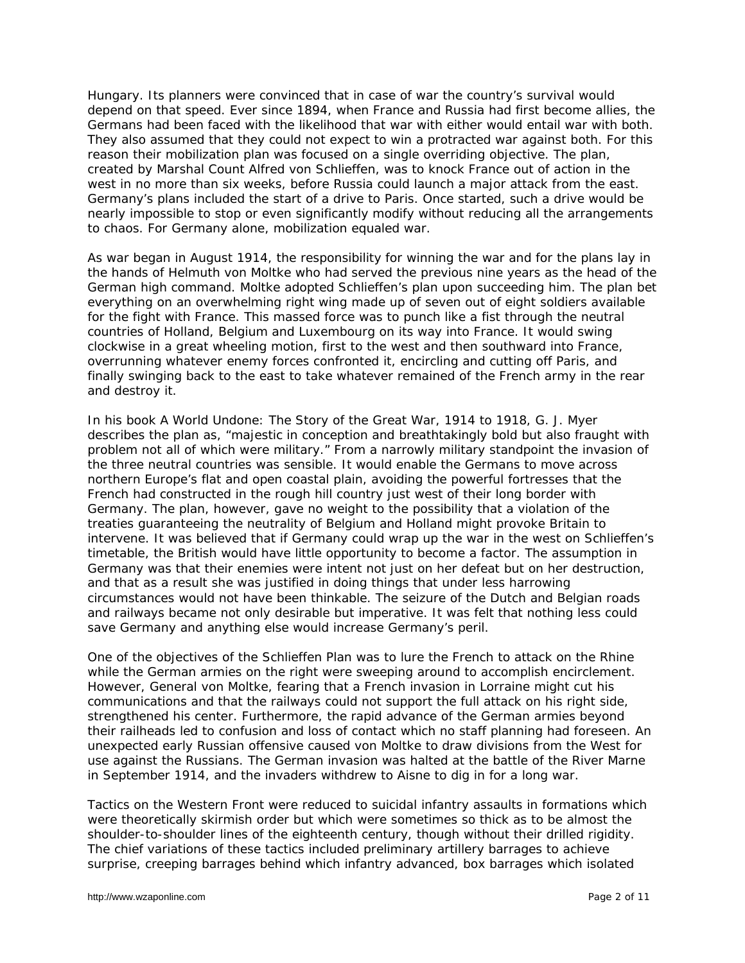Hungary. Its planners were convinced that in case of war the country's survival would depend on that speed. Ever since 1894, when France and Russia had first become allies, the Germans had been faced with the likelihood that war with either would entail war with both. They also assumed that they could not expect to win a protracted war against both. For this reason their mobilization plan was focused on a single overriding objective. The plan, created by Marshal Count Alfred von Schlieffen, was to knock France out of action in the west in no more than six weeks, before Russia could launch a major attack from the east. Germany's plans included the start of a drive to Paris. Once started, such a drive would be nearly impossible to stop or even significantly modify without reducing all the arrangements to chaos. For Germany alone, mobilization equaled war.

As war began in August 1914, the responsibility for winning the war and for the plans lay in the hands of Helmuth von Moltke who had served the previous nine years as the head of the German high command. Moltke adopted Schlieffen's plan upon succeeding him. The plan bet everything on an overwhelming right wing made up of seven out of eight soldiers available for the fight with France. This massed force was to punch like a fist through the neutral countries of Holland, Belgium and Luxembourg on its way into France. It would swing clockwise in a great wheeling motion, first to the west and then southward into France, overrunning whatever enemy forces confronted it, encircling and cutting off Paris, and finally swinging back to the east to take whatever remained of the French army in the rear and destroy it.

In his book *A World Undone: The Story of the Great War, 1914 to 1918*, G. J. Myer describes the plan as, "majestic in conception and breathtakingly bold but also fraught with problem not all of which were military." From a narrowly military standpoint the invasion of the three neutral countries was sensible. It would enable the Germans to move across northern Europe's flat and open coastal plain, avoiding the powerful fortresses that the French had constructed in the rough hill country just west of their long border with Germany. The plan, however, gave no weight to the possibility that a violation of the treaties guaranteeing the neutrality of Belgium and Holland might provoke Britain to intervene. It was believed that if Germany could wrap up the war in the west on Schlieffen's timetable, the British would have little opportunity to become a factor. The assumption in Germany was that their enemies were intent not just on her defeat but on her destruction, and that as a result she was justified in doing things that under less harrowing circumstances would not have been thinkable. The seizure of the Dutch and Belgian roads and railways became not only desirable but imperative. It was felt that nothing less could save Germany and anything else would increase Germany's peril.

One of the objectives of the Schlieffen Plan was to lure the French to attack on the Rhine while the German armies on the right were sweeping around to accomplish encirclement. However, General von Moltke, fearing that a French invasion in Lorraine might cut his communications and that the railways could not support the full attack on his right side, strengthened his center. Furthermore, the rapid advance of the German armies beyond their railheads led to confusion and loss of contact which no staff planning had foreseen. An unexpected early Russian offensive caused von Moltke to draw divisions from the West for use against the Russians. The German invasion was halted at the battle of the River Marne in September 1914, and the invaders withdrew to Aisne to dig in for a long war.

Tactics on the Western Front were reduced to suicidal infantry assaults in formations which were theoretically skirmish order but which were sometimes so thick as to be almost the shoulder-to-shoulder lines of the eighteenth century, though without their drilled rigidity. The chief variations of these tactics included preliminary artillery barrages to achieve surprise, creeping barrages behind which infantry advanced, box barrages which isolated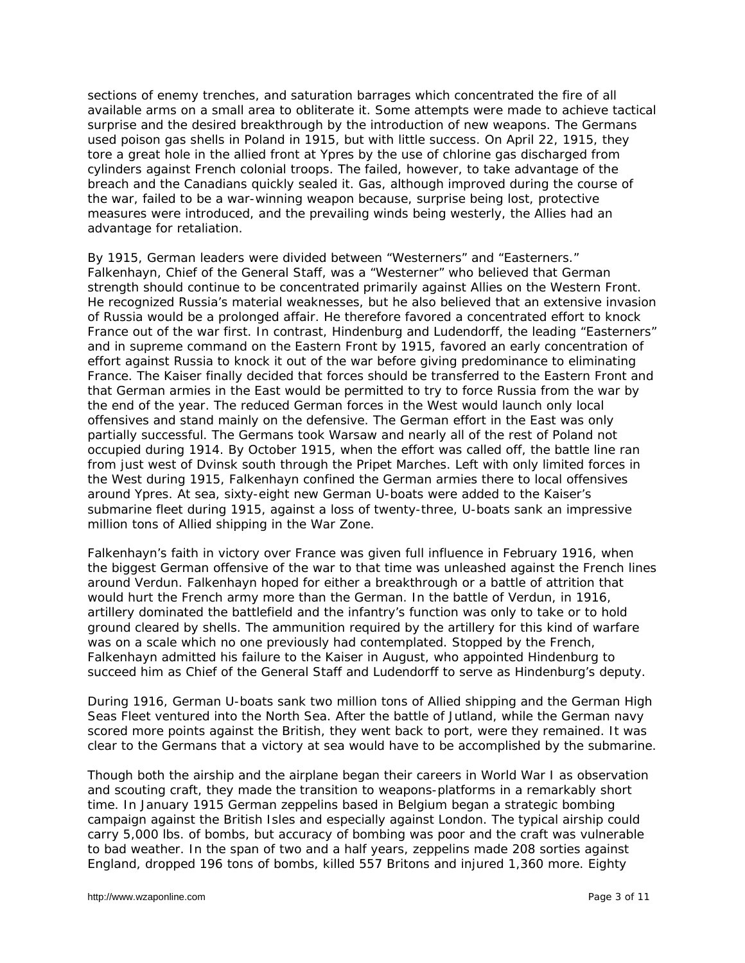sections of enemy trenches, and saturation barrages which concentrated the fire of all available arms on a small area to obliterate it. Some attempts were made to achieve tactical surprise and the desired breakthrough by the introduction of new weapons. The Germans used poison gas shells in Poland in 1915, but with little success. On April 22, 1915, they tore a great hole in the allied front at Ypres by the use of chlorine gas discharged from cylinders against French colonial troops. The failed, however, to take advantage of the breach and the Canadians quickly sealed it. Gas, although improved during the course of the war, failed to be a war-winning weapon because, surprise being lost, protective measures were introduced, and the prevailing winds being westerly, the Allies had an advantage for retaliation.

By 1915, German leaders were divided between "Westerners" and "Easterners." Falkenhayn, Chief of the General Staff, was a "Westerner" who believed that German strength should continue to be concentrated primarily against Allies on the Western Front. He recognized Russia's material weaknesses, but he also believed that an extensive invasion of Russia would be a prolonged affair. He therefore favored a concentrated effort to knock France out of the war first. In contrast, Hindenburg and Ludendorff, the leading "Easterners" and in supreme command on the Eastern Front by 1915, favored an early concentration of effort against Russia to knock it out of the war before giving predominance to eliminating France. The Kaiser finally decided that forces should be transferred to the Eastern Front and that German armies in the East would be permitted to try to force Russia from the war by the end of the year. The reduced German forces in the West would launch only local offensives and stand mainly on the defensive. The German effort in the East was only partially successful. The Germans took Warsaw and nearly all of the rest of Poland not occupied during 1914. By October 1915, when the effort was called off, the battle line ran from just west of Dvinsk south through the Pripet Marches. Left with only limited forces in the West during 1915, Falkenhayn confined the German armies there to local offensives around Ypres. At sea, sixty-eight new German U-boats were added to the Kaiser's submarine fleet during 1915, against a loss of twenty-three, U-boats sank an impressive million tons of Allied shipping in the War Zone.

Falkenhayn's faith in victory over France was given full influence in February 1916, when the biggest German offensive of the war to that time was unleashed against the French lines around Verdun. Falkenhayn hoped for either a breakthrough or a battle of attrition that would hurt the French army more than the German. In the battle of Verdun, in 1916, artillery dominated the battlefield and the infantry's function was only to take or to hold ground cleared by shells. The ammunition required by the artillery for this kind of warfare was on a scale which no one previously had contemplated. Stopped by the French, Falkenhayn admitted his failure to the Kaiser in August, who appointed Hindenburg to succeed him as Chief of the General Staff and Ludendorff to serve as Hindenburg's deputy.

During 1916, German U-boats sank two million tons of Allied shipping and the German High Seas Fleet ventured into the North Sea. After the battle of Jutland, while the German navy scored more points against the British, they went back to port, were they remained. It was clear to the Germans that a victory at sea would have to be accomplished by the submarine.

Though both the airship and the airplane began their careers in World War I as observation and scouting craft, they made the transition to weapons-platforms in a remarkably short time. In January 1915 German zeppelins based in Belgium began a strategic bombing campaign against the British Isles and especially against London. The typical airship could carry 5,000 lbs. of bombs, but accuracy of bombing was poor and the craft was vulnerable to bad weather. In the span of two and a half years, zeppelins made 208 sorties against England, dropped 196 tons of bombs, killed 557 Britons and injured 1,360 more. Eighty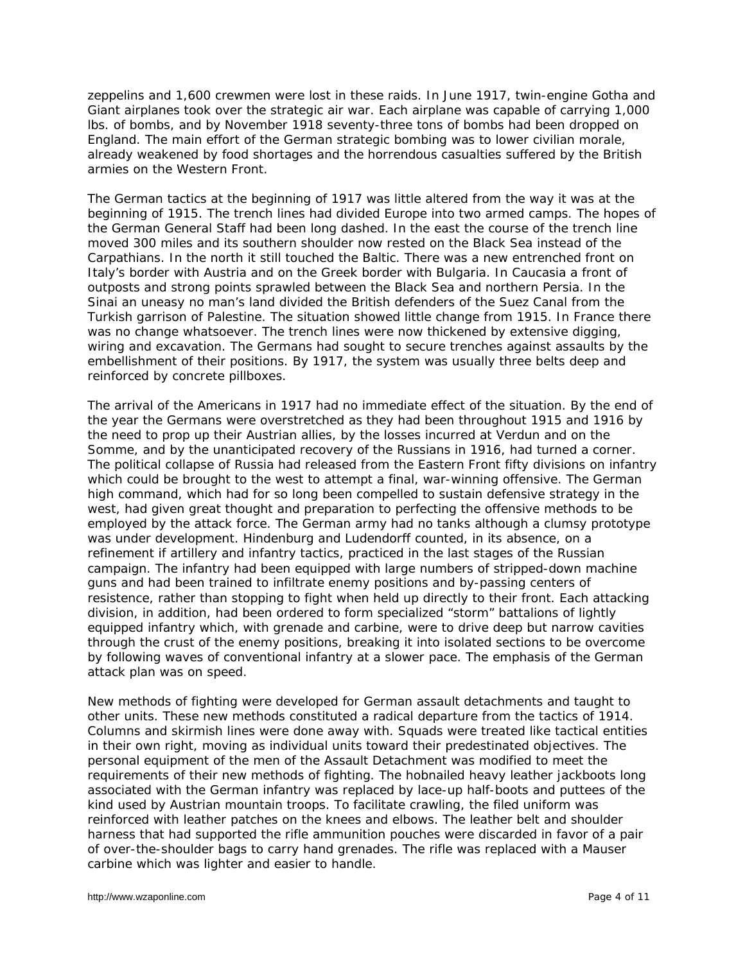zeppelins and 1,600 crewmen were lost in these raids. In June 1917, twin-engine Gotha and Giant airplanes took over the strategic air war. Each airplane was capable of carrying 1,000 lbs. of bombs, and by November 1918 seventy-three tons of bombs had been dropped on England. The main effort of the German strategic bombing was to lower civilian morale, already weakened by food shortages and the horrendous casualties suffered by the British armies on the Western Front.

The German tactics at the beginning of 1917 was little altered from the way it was at the beginning of 1915. The trench lines had divided Europe into two armed camps. The hopes of the German General Staff had been long dashed. In the east the course of the trench line moved 300 miles and its southern shoulder now rested on the Black Sea instead of the Carpathians. In the north it still touched the Baltic. There was a new entrenched front on Italy's border with Austria and on the Greek border with Bulgaria. In Caucasia a front of outposts and strong points sprawled between the Black Sea and northern Persia. In the Sinai an uneasy no man's land divided the British defenders of the Suez Canal from the Turkish garrison of Palestine. The situation showed little change from 1915. In France there was no change whatsoever. The trench lines were now thickened by extensive digging, wiring and excavation. The Germans had sought to secure trenches against assaults by the embellishment of their positions. By 1917, the system was usually three belts deep and reinforced by concrete pillboxes.

The arrival of the Americans in 1917 had no immediate effect of the situation. By the end of the year the Germans were overstretched as they had been throughout 1915 and 1916 by the need to prop up their Austrian allies, by the losses incurred at Verdun and on the Somme, and by the unanticipated recovery of the Russians in 1916, had turned a corner. The political collapse of Russia had released from the Eastern Front fifty divisions on infantry which could be brought to the west to attempt a final, war-winning offensive. The German high command, which had for so long been compelled to sustain defensive strategy in the west, had given great thought and preparation to perfecting the offensive methods to be employed by the attack force. The German army had no tanks although a clumsy prototype was under development. Hindenburg and Ludendorff counted, in its absence, on a refinement if artillery and infantry tactics, practiced in the last stages of the Russian campaign. The infantry had been equipped with large numbers of stripped-down machine guns and had been trained to infiltrate enemy positions and by-passing centers of resistence, rather than stopping to fight when held up directly to their front. Each attacking division, in addition, had been ordered to form specialized "storm" battalions of lightly equipped infantry which, with grenade and carbine, were to drive deep but narrow cavities through the crust of the enemy positions, breaking it into isolated sections to be overcome by following waves of conventional infantry at a slower pace. The emphasis of the German attack plan was on speed.

New methods of fighting were developed for German assault detachments and taught to other units. These new methods constituted a radical departure from the tactics of 1914. Columns and skirmish lines were done away with. Squads were treated like tactical entities in their own right, moving as individual units toward their predestinated objectives. The personal equipment of the men of the Assault Detachment was modified to meet the requirements of their new methods of fighting. The hobnailed heavy leather jackboots long associated with the German infantry was replaced by lace-up half-boots and puttees of the kind used by Austrian mountain troops. To facilitate crawling, the filed uniform was reinforced with leather patches on the knees and elbows. The leather belt and shoulder harness that had supported the rifle ammunition pouches were discarded in favor of a pair of over-the-shoulder bags to carry hand grenades. The rifle was replaced with a Mauser carbine which was lighter and easier to handle.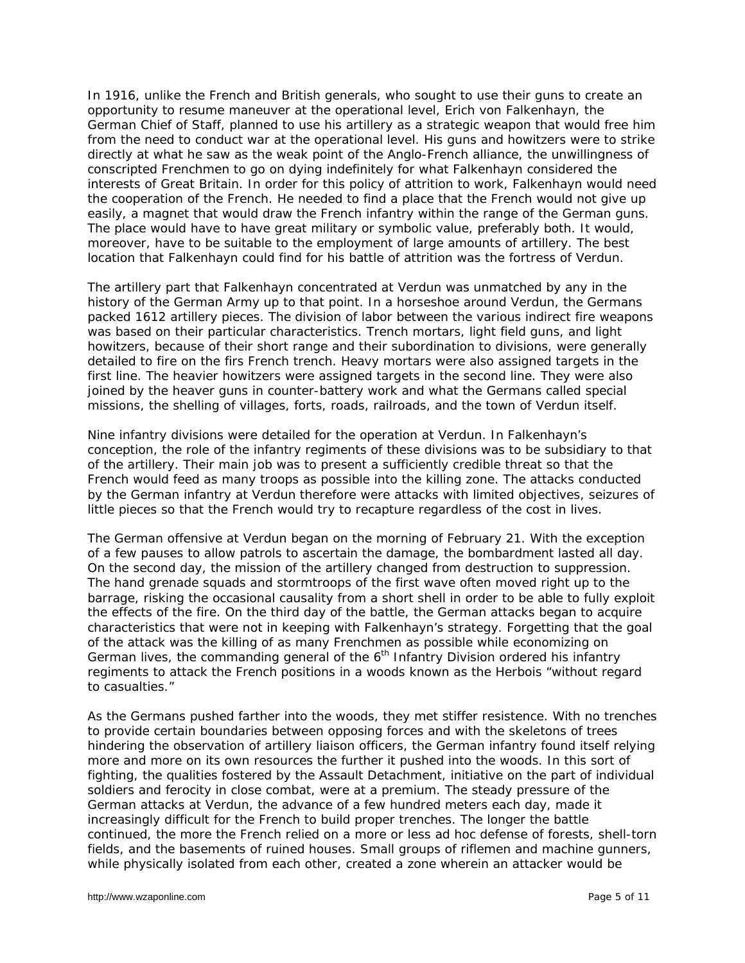In 1916, unlike the French and British generals, who sought to use their guns to create an opportunity to resume maneuver at the operational level, Erich von Falkenhayn, the German Chief of Staff, planned to use his artillery as a strategic weapon that would free him from the need to conduct war at the operational level. His guns and howitzers were to strike directly at what he saw as the weak point of the Anglo-French alliance, the unwillingness of conscripted Frenchmen to go on dying indefinitely for what Falkenhayn considered the interests of Great Britain. In order for this policy of attrition to work, Falkenhayn would need the cooperation of the French. He needed to find a place that the French would not give up easily, a magnet that would draw the French infantry within the range of the German guns. The place would have to have great military or symbolic value, preferably both. It would, moreover, have to be suitable to the employment of large amounts of artillery. The best location that Falkenhayn could find for his battle of attrition was the fortress of Verdun.

The artillery part that Falkenhayn concentrated at Verdun was unmatched by any in the history of the German Army up to that point. In a horseshoe around Verdun, the Germans packed 1612 artillery pieces. The division of labor between the various indirect fire weapons was based on their particular characteristics. Trench mortars, light field guns, and light howitzers, because of their short range and their subordination to divisions, were generally detailed to fire on the firs French trench. Heavy mortars were also assigned targets in the first line. The heavier howitzers were assigned targets in the second line. They were also joined by the heaver guns in counter-battery work and what the Germans called special missions, the shelling of villages, forts, roads, railroads, and the town of Verdun itself.

Nine infantry divisions were detailed for the operation at Verdun. In Falkenhayn's conception, the role of the infantry regiments of these divisions was to be subsidiary to that of the artillery. Their main job was to present a sufficiently credible threat so that the French would feed as many troops as possible into the killing zone. The attacks conducted by the German infantry at Verdun therefore were attacks with limited objectives, seizures of little pieces so that the French would try to recapture regardless of the cost in lives.

The German offensive at Verdun began on the morning of February 21. With the exception of a few pauses to allow patrols to ascertain the damage, the bombardment lasted all day. On the second day, the mission of the artillery changed from destruction to suppression. The hand grenade squads and stormtroops of the first wave often moved right up to the barrage, risking the occasional causality from a short shell in order to be able to fully exploit the effects of the fire. On the third day of the battle, the German attacks began to acquire characteristics that were not in keeping with Falkenhayn's strategy. Forgetting that the goal of the attack was the killing of as many Frenchmen as possible while economizing on German lives, the commanding general of the  $6<sup>th</sup>$  Infantry Division ordered his infantry regiments to attack the French positions in a woods known as the Herbois "without regard to casualties."

As the Germans pushed farther into the woods, they met stiffer resistence. With no trenches to provide certain boundaries between opposing forces and with the skeletons of trees hindering the observation of artillery liaison officers, the German infantry found itself relying more and more on its own resources the further it pushed into the woods. In this sort of fighting, the qualities fostered by the Assault Detachment, initiative on the part of individual soldiers and ferocity in close combat, were at a premium. The steady pressure of the German attacks at Verdun, the advance of a few hundred meters each day, made it increasingly difficult for the French to build proper trenches. The longer the battle continued, the more the French relied on a more or less ad hoc defense of forests, shell-torn fields, and the basements of ruined houses. Small groups of riflemen and machine gunners, while physically isolated from each other, created a zone wherein an attacker would be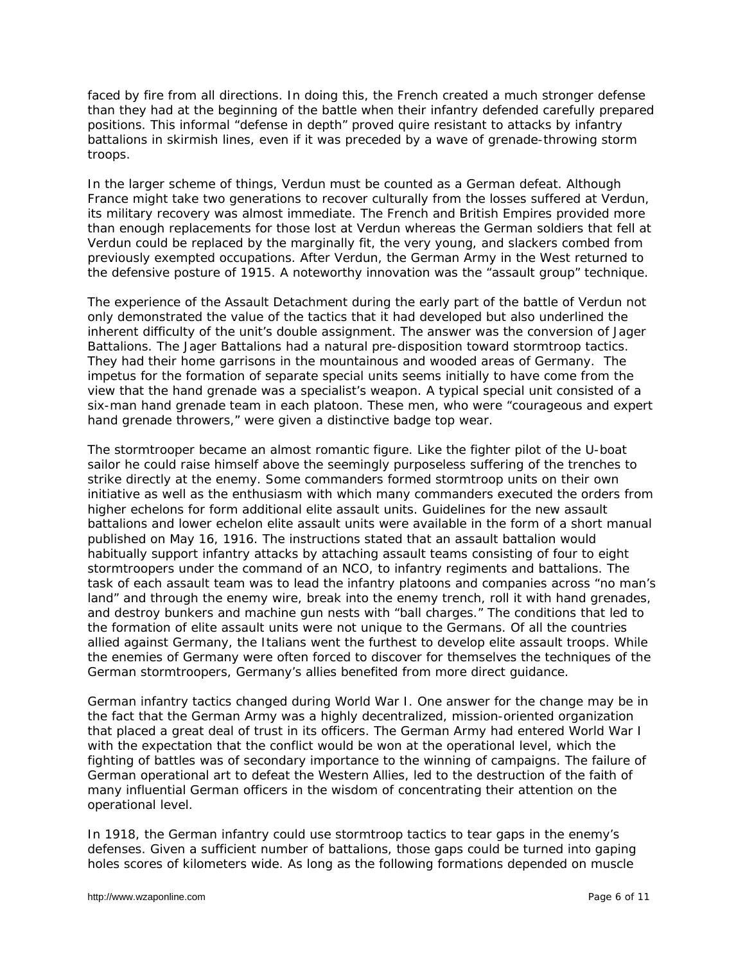faced by fire from all directions. In doing this, the French created a much stronger defense than they had at the beginning of the battle when their infantry defended carefully prepared positions. This informal "defense in depth" proved quire resistant to attacks by infantry battalions in skirmish lines, even if it was preceded by a wave of grenade-throwing storm troops.

In the larger scheme of things, Verdun must be counted as a German defeat. Although France might take two generations to recover culturally from the losses suffered at Verdun, its military recovery was almost immediate. The French and British Empires provided more than enough replacements for those lost at Verdun whereas the German soldiers that fell at Verdun could be replaced by the marginally fit, the very young, and slackers combed from previously exempted occupations. After Verdun, the German Army in the West returned to the defensive posture of 1915. A noteworthy innovation was the "assault group" technique.

The experience of the Assault Detachment during the early part of the battle of Verdun not only demonstrated the value of the tactics that it had developed but also underlined the inherent difficulty of the unit's double assignment. The answer was the conversion of *Jager*  Battalions. The Jager Battalions had a natural pre-disposition toward stormtroop tactics. They had their home garrisons in the mountainous and wooded areas of Germany. The impetus for the formation of separate special units seems initially to have come from the view that the hand grenade was a specialist's weapon. A typical special unit consisted of a six-man hand grenade team in each platoon. These men, who were "courageous and expert hand grenade throwers," were given a distinctive badge top wear.

The stormtrooper became an almost romantic figure. Like the fighter pilot of the U-boat sailor he could raise himself above the seemingly purposeless suffering of the trenches to strike directly at the enemy. Some commanders formed stormtroop units on their own initiative as well as the enthusiasm with which many commanders executed the orders from higher echelons for form additional elite assault units. Guidelines for the new assault battalions and lower echelon elite assault units were available in the form of a short manual published on May 16, 1916. The instructions stated that an assault battalion would habitually support infantry attacks by attaching assault teams consisting of four to eight stormtroopers under the command of an NCO, to infantry regiments and battalions. The task of each assault team was to lead the infantry platoons and companies across "no man's land" and through the enemy wire, break into the enemy trench, roll it with hand grenades, and destroy bunkers and machine gun nests with "ball charges." The conditions that led to the formation of elite assault units were not unique to the Germans. Of all the countries allied against Germany, the Italians went the furthest to develop elite assault troops. While the enemies of Germany were often forced to discover for themselves the techniques of the German stormtroopers, Germany's allies benefited from more direct guidance.

German infantry tactics changed during World War I. One answer for the change may be in the fact that the German Army was a highly decentralized, mission-oriented organization that placed a great deal of trust in its officers. The German Army had entered World War I with the expectation that the conflict would be won at the operational level, which the fighting of battles was of secondary importance to the winning of campaigns. The failure of German operational art to defeat the Western Allies, led to the destruction of the faith of many influential German officers in the wisdom of concentrating their attention on the operational level.

In 1918, the German infantry could use stormtroop tactics to tear gaps in the enemy's defenses. Given a sufficient number of battalions, those gaps could be turned into gaping holes scores of kilometers wide. As long as the following formations depended on muscle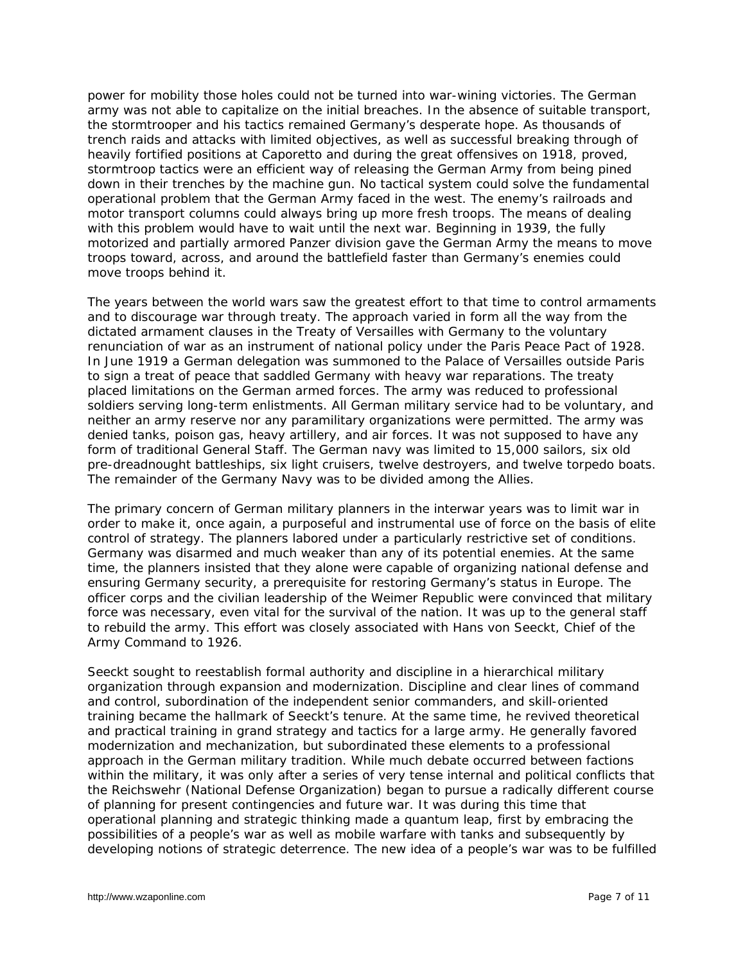power for mobility those holes could not be turned into war-wining victories. The German army was not able to capitalize on the initial breaches. In the absence of suitable transport, the stormtrooper and his tactics remained Germany's desperate hope. As thousands of trench raids and attacks with limited objectives, as well as successful breaking through of heavily fortified positions at Caporetto and during the great offensives on 1918, proved, stormtroop tactics were an efficient way of releasing the German Army from being pined down in their trenches by the machine gun. No tactical system could solve the fundamental operational problem that the German Army faced in the west. The enemy's railroads and motor transport columns could always bring up more fresh troops. The means of dealing with this problem would have to wait until the next war. Beginning in 1939, the fully motorized and partially armored *Panzer* division gave the German Army the means to move troops toward, across, and around the battlefield faster than Germany's enemies could move troops behind it.

The years between the world wars saw the greatest effort to that time to control armaments and to discourage war through treaty. The approach varied in form all the way from the dictated armament clauses in the Treaty of Versailles with Germany to the voluntary renunciation of war as an instrument of national policy under the Paris Peace Pact of 1928. In June 1919 a German delegation was summoned to the Palace of Versailles outside Paris to sign a treat of peace that saddled Germany with heavy war reparations. The treaty placed limitations on the German armed forces. The army was reduced to professional soldiers serving long-term enlistments. All German military service had to be voluntary, and neither an army reserve nor any paramilitary organizations were permitted. The army was denied tanks, poison gas, heavy artillery, and air forces. It was not supposed to have any form of traditional General Staff. The German navy was limited to 15,000 sailors, six old pre-dreadnought battleships, six light cruisers, twelve destroyers, and twelve torpedo boats. The remainder of the Germany Navy was to be divided among the Allies.

The primary concern of German military planners in the interwar years was to limit war in order to make it, once again, a purposeful and instrumental use of force on the basis of elite control of strategy. The planners labored under a particularly restrictive set of conditions. Germany was disarmed and much weaker than any of its potential enemies. At the same time, the planners insisted that they alone were capable of organizing national defense and ensuring Germany security, a prerequisite for restoring Germany's status in Europe. The officer corps and the civilian leadership of the Weimer Republic were convinced that military force was necessary, even vital for the survival of the nation. It was up to the general staff to rebuild the army. This effort was closely associated with Hans von Seeckt, Chief of the Army Command to 1926.

Seeckt sought to reestablish formal authority and discipline in a hierarchical military organization through expansion and modernization. Discipline and clear lines of command and control, subordination of the independent senior commanders, and skill-oriented training became the hallmark of Seeckt's tenure. At the same time, he revived theoretical and practical training in grand strategy and tactics for a large army. He generally favored modernization and mechanization, but subordinated these elements to a professional approach in the German military tradition. While much debate occurred between factions within the military, it was only after a series of very tense internal and political conflicts that the *Reichswehr* (National Defense Organization) began to pursue a radically different course of planning for present contingencies and future war. It was during this time that operational planning and strategic thinking made a quantum leap, first by embracing the possibilities of a people's war as well as mobile warfare with tanks and subsequently by developing notions of strategic deterrence. The new idea of a people's war was to be fulfilled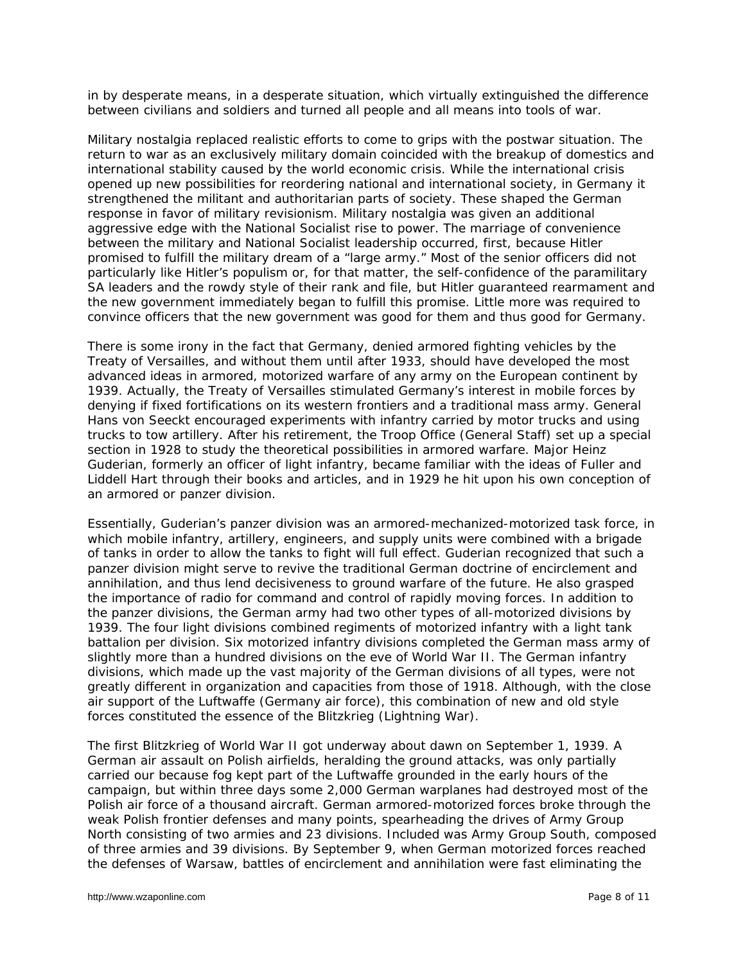in by desperate means, in a desperate situation, which virtually extinguished the difference between civilians and soldiers and turned all people and all means into tools of war.

Military nostalgia replaced realistic efforts to come to grips with the postwar situation. The return to war as an exclusively military domain coincided with the breakup of domestics and international stability caused by the world economic crisis. While the international crisis opened up new possibilities for reordering national and international society, in Germany it strengthened the militant and authoritarian parts of society. These shaped the German response in favor of military revisionism. Military nostalgia was given an additional aggressive edge with the National Socialist rise to power. The marriage of convenience between the military and National Socialist leadership occurred, first, because Hitler promised to fulfill the military dream of a "large army." Most of the senior officers did not particularly like Hitler's populism or, for that matter, the self-confidence of the paramilitary SA leaders and the rowdy style of their rank and file, but Hitler guaranteed rearmament and the new government immediately began to fulfill this promise. Little more was required to convince officers that the new government was good for them and thus good for Germany.

There is some irony in the fact that Germany, denied armored fighting vehicles by the Treaty of Versailles, and without them until after 1933, should have developed the most advanced ideas in armored, motorized warfare of any army on the European continent by 1939. Actually, the Treaty of Versailles stimulated Germany's interest in mobile forces by denying if fixed fortifications on its western frontiers and a traditional mass army. General Hans von Seeckt encouraged experiments with infantry carried by motor trucks and using trucks to tow artillery. After his retirement, the Troop Office (General Staff) set up a special section in 1928 to study the theoretical possibilities in armored warfare. Major Heinz Guderian, formerly an officer of light infantry, became familiar with the ideas of Fuller and Liddell Hart through their books and articles, and in 1929 he hit upon his own conception of an armored or panzer division.

Essentially, Guderian's panzer division was an armored-mechanized-motorized task force, in which mobile infantry, artillery, engineers, and supply units were combined with a brigade of tanks in order to allow the tanks to fight will full effect. Guderian recognized that such a panzer division might serve to revive the traditional German doctrine of encirclement and annihilation, and thus lend decisiveness to ground warfare of the future. He also grasped the importance of radio for command and control of rapidly moving forces. In addition to the panzer divisions, the German army had two other types of all-motorized divisions by 1939. The four light divisions combined regiments of motorized infantry with a light tank battalion per division. Six motorized infantry divisions completed the German mass army of slightly more than a hundred divisions on the eve of World War II. The German infantry divisions, which made up the vast majority of the German divisions of all types, were not greatly different in organization and capacities from those of 1918. Although, with the close air support of the *Luftwaffe* (Germany air force), this combination of new and old style forces constituted the essence of the *Blitzkrieg* (Lightning War).

The first Blitzkrieg of World War II got underway about dawn on September 1, 1939. A German air assault on Polish airfields, heralding the ground attacks, was only partially carried our because fog kept part of the Luftwaffe grounded in the early hours of the campaign, but within three days some 2,000 German warplanes had destroyed most of the Polish air force of a thousand aircraft. German armored-motorized forces broke through the weak Polish frontier defenses and many points, spearheading the drives of Army Group North consisting of two armies and 23 divisions. Included was Army Group South, composed of three armies and 39 divisions. By September 9, when German motorized forces reached the defenses of Warsaw, battles of encirclement and annihilation were fast eliminating the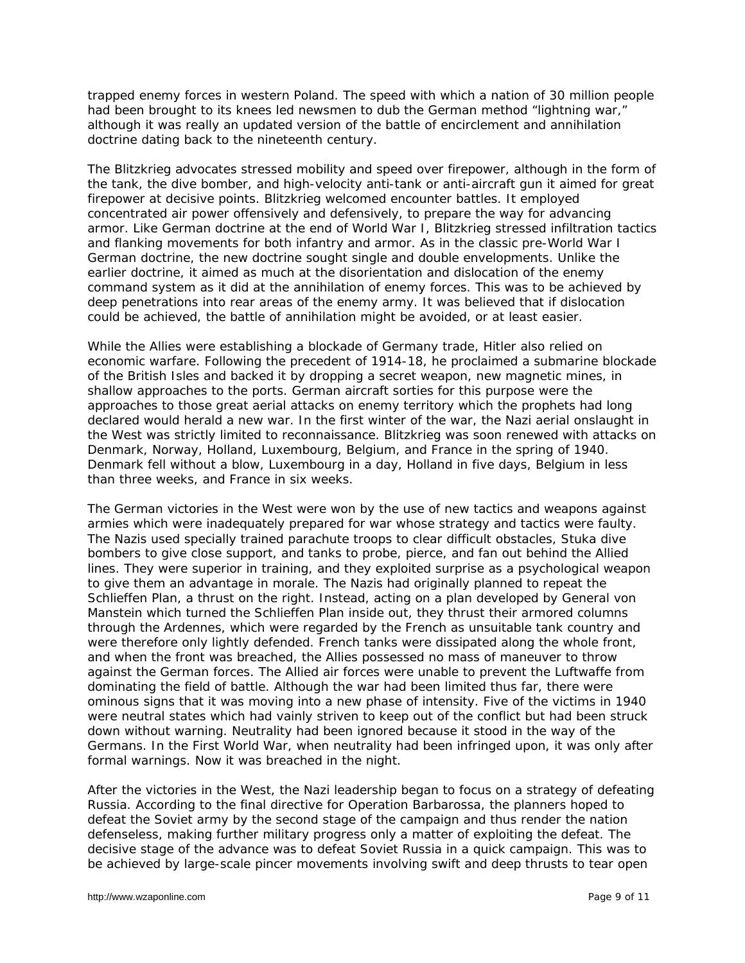trapped enemy forces in western Poland. The speed with which a nation of 30 million people had been brought to its knees led newsmen to dub the German method "lightning war," although it was really an updated version of the battle of encirclement and annihilation doctrine dating back to the nineteenth century.

The Blitzkrieg advocates stressed mobility and speed over firepower, although in the form of the tank, the dive bomber, and high-velocity anti-tank or anti-aircraft gun it aimed for great firepower at decisive points. Blitzkrieg welcomed encounter battles. It employed concentrated air power offensively and defensively, to prepare the way for advancing armor. Like German doctrine at the end of World War I, Blitzkrieg stressed infiltration tactics and flanking movements for both infantry and armor. As in the classic pre-World War I German doctrine, the new doctrine sought single and double envelopments. Unlike the earlier doctrine, it aimed as much at the disorientation and dislocation of the enemy command system as it did at the annihilation of enemy forces. This was to be achieved by deep penetrations into rear areas of the enemy army. It was believed that if dislocation could be achieved, the battle of annihilation might be avoided, or at least easier.

While the Allies were establishing a blockade of Germany trade, Hitler also relied on economic warfare. Following the precedent of 1914-18, he proclaimed a submarine blockade of the British Isles and backed it by dropping a secret weapon, new magnetic mines, in shallow approaches to the ports. German aircraft sorties for this purpose were the approaches to those great aerial attacks on enemy territory which the prophets had long declared would herald a new war. In the first winter of the war, the Nazi aerial onslaught in the West was strictly limited to reconnaissance. Blitzkrieg was soon renewed with attacks on Denmark, Norway, Holland, Luxembourg, Belgium, and France in the spring of 1940. Denmark fell without a blow, Luxembourg in a day, Holland in five days, Belgium in less than three weeks, and France in six weeks.

The German victories in the West were won by the use of new tactics and weapons against armies which were inadequately prepared for war whose strategy and tactics were faulty. The Nazis used specially trained parachute troops to clear difficult obstacles, Stuka dive bombers to give close support, and tanks to probe, pierce, and fan out behind the Allied lines. They were superior in training, and they exploited surprise as a psychological weapon to give them an advantage in morale. The Nazis had originally planned to repeat the Schlieffen Plan, a thrust on the right. Instead, acting on a plan developed by General von Manstein which turned the Schlieffen Plan inside out, they thrust their armored columns through the Ardennes, which were regarded by the French as unsuitable tank country and were therefore only lightly defended. French tanks were dissipated along the whole front, and when the front was breached, the Allies possessed no mass of maneuver to throw against the German forces. The Allied air forces were unable to prevent the Luftwaffe from dominating the field of battle. Although the war had been limited thus far, there were ominous signs that it was moving into a new phase of intensity. Five of the victims in 1940 were neutral states which had vainly striven to keep out of the conflict but had been struck down without warning. Neutrality had been ignored because it stood in the way of the Germans. In the First World War, when neutrality had been infringed upon, it was only after formal warnings. Now it was breached in the night.

After the victories in the West, the Nazi leadership began to focus on a strategy of defeating Russia. According to the final directive for Operation Barbarossa, the planners hoped to defeat the Soviet army by the second stage of the campaign and thus render the nation defenseless, making further military progress only a matter of exploiting the defeat. The decisive stage of the advance was to defeat Soviet Russia in a quick campaign. This was to be achieved by large-scale pincer movements involving swift and deep thrusts to tear open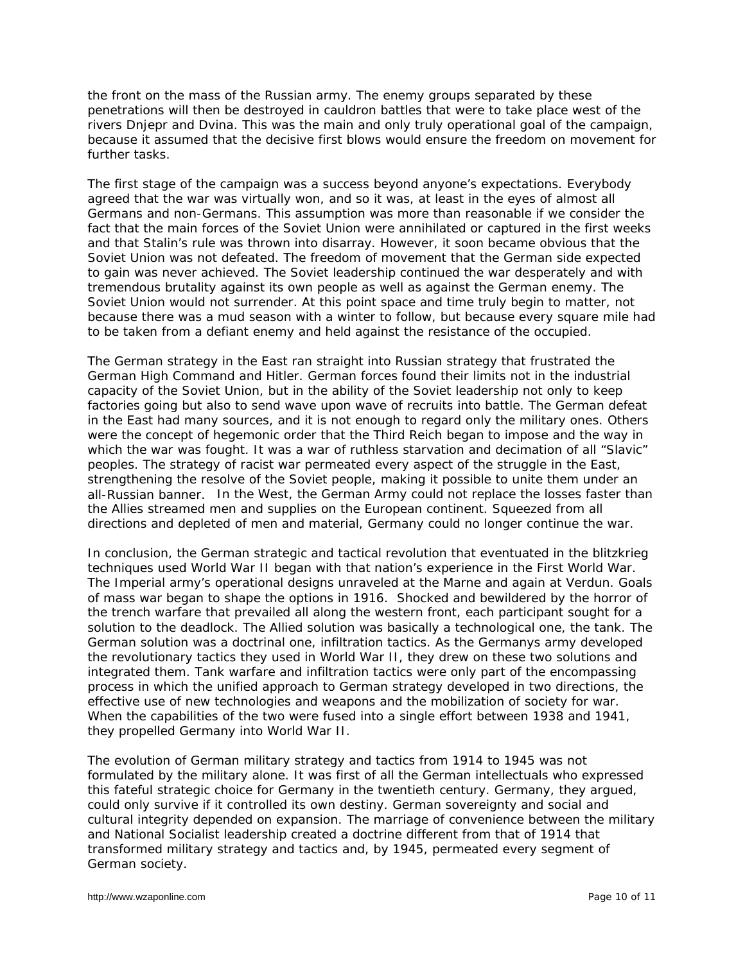the front on the mass of the Russian army. The enemy groups separated by these penetrations will then be destroyed in cauldron battles that were to take place west of the rivers Dnjepr and Dvina. This was the main and only truly operational goal of the campaign, because it assumed that the decisive first blows would ensure the freedom on movement for further tasks.

The first stage of the campaign was a success beyond anyone's expectations. Everybody agreed that the war was virtually won, and so it was, at least in the eyes of almost all Germans and non-Germans. This assumption was more than reasonable if we consider the fact that the main forces of the Soviet Union were annihilated or captured in the first weeks and that Stalin's rule was thrown into disarray. However, it soon became obvious that the Soviet Union was not defeated. The freedom of movement that the German side expected to gain was never achieved. The Soviet leadership continued the war desperately and with tremendous brutality against its own people as well as against the German enemy. The Soviet Union would not surrender. At this point space and time truly begin to matter, not because there was a mud season with a winter to follow, but because every square mile had to be taken from a defiant enemy and held against the resistance of the occupied.

The German strategy in the East ran straight into Russian strategy that frustrated the German High Command and Hitler. German forces found their limits not in the industrial capacity of the Soviet Union, but in the ability of the Soviet leadership not only to keep factories going but also to send wave upon wave of recruits into battle. The German defeat in the East had many sources, and it is not enough to regard only the military ones. Others were the concept of hegemonic order that the Third Reich began to impose and the way in which the war was fought. It was a war of ruthless starvation and decimation of all "Slavic" peoples. The strategy of racist war permeated every aspect of the struggle in the East, strengthening the resolve of the Soviet people, making it possible to unite them under an all-Russian banner. In the West, the German Army could not replace the losses faster than the Allies streamed men and supplies on the European continent. Squeezed from all directions and depleted of men and material, Germany could no longer continue the war.

In conclusion, the German strategic and tactical revolution that eventuated in the blitzkrieg techniques used World War II began with that nation's experience in the First World War. The Imperial army's operational designs unraveled at the Marne and again at Verdun. Goals of mass war began to shape the options in 1916. Shocked and bewildered by the horror of the trench warfare that prevailed all along the western front, each participant sought for a solution to the deadlock. The Allied solution was basically a technological one, the tank. The German solution was a doctrinal one, infiltration tactics. As the Germanys army developed the revolutionary tactics they used in World War II, they drew on these two solutions and integrated them. Tank warfare and infiltration tactics were only part of the encompassing process in which the unified approach to German strategy developed in two directions, the effective use of new technologies and weapons and the mobilization of society for war. When the capabilities of the two were fused into a single effort between 1938 and 1941, they propelled Germany into World War II.

The evolution of German military strategy and tactics from 1914 to 1945 was not formulated by the military alone. It was first of all the German intellectuals who expressed this fateful strategic choice for Germany in the twentieth century. Germany, they argued, could only survive if it controlled its own destiny. German sovereignty and social and cultural integrity depended on expansion. The marriage of convenience between the military and National Socialist leadership created a doctrine different from that of 1914 that transformed military strategy and tactics and, by 1945, permeated every segment of German society.